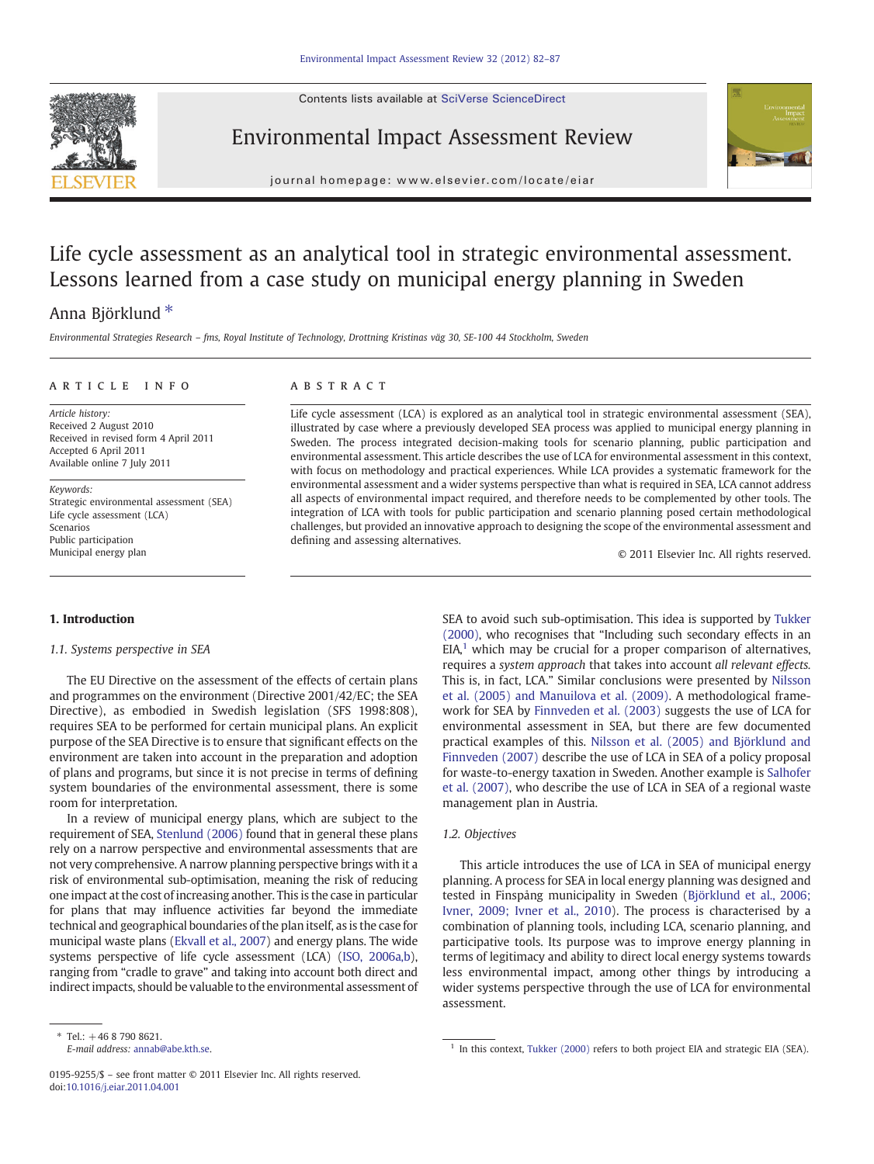Contents lists available at SciVerse ScienceDirect



## Environmental Impact Assessment Review



journal homepage: www.elsevier.com/locate/eiar

# Life cycle assessment as an analytical tool in strategic environmental assessment. Lessons learned from a case study on municipal energy planning in Sweden

## Anna Björklund ⁎

Environmental Strategies Research – fms, Royal Institute of Technology, Drottning Kristinas väg 30, SE-100 44 Stockholm, Sweden

### ARTICLE INFO ABSTRACT

Article history: Received 2 August 2010 Received in revised form 4 April 2011 Accepted 6 April 2011 Available online 7 July 2011

Keywords: Strategic environmental assessment (SEA) Life cycle assessment (LCA) Scenarios Public participation Municipal energy plan

#### 1. Introduction

1.1. Systems perspective in SEA

The EU Directive on the assessment of the effects of certain plans and programmes on the environment (Directive 2001/42/EC; the SEA Directive), as embodied in Swedish legislation (SFS 1998:808), requires SEA to be performed for certain municipal plans. An explicit purpose of the SEA Directive is to ensure that significant effects on the environment are taken into account in the preparation and adoption of plans and programs, but since it is not precise in terms of defining system boundaries of the environmental assessment, there is some room for interpretation.

In a review of municipal energy plans, which are subject to the requirement of SEA, [Stenlund \(2006\)](#page--1-0) found that in general these plans rely on a narrow perspective and environmental assessments that are not very comprehensive. A narrow planning perspective brings with it a risk of environmental sub-optimisation, meaning the risk of reducing one impact at the cost of increasing another. This is the case in particular for plans that may influence activities far beyond the immediate technical and geographical boundaries of the plan itself, as is the case for municipal waste plans [\(Ekvall et al., 2007](#page--1-0)) and energy plans. The wide systems perspective of life cycle assessment (LCA) ([ISO, 2006a,b\)](#page--1-0), ranging from "cradle to grave" and taking into account both direct and indirect impacts, should be valuable to the environmental assessment of

Life cycle assessment (LCA) is explored as an analytical tool in strategic environmental assessment (SEA), illustrated by case where a previously developed SEA process was applied to municipal energy planning in Sweden. The process integrated decision-making tools for scenario planning, public participation and environmental assessment. This article describes the use of LCA for environmental assessment in this context, with focus on methodology and practical experiences. While LCA provides a systematic framework for the environmental assessment and a wider systems perspective than what is required in SEA, LCA cannot address all aspects of environmental impact required, and therefore needs to be complemented by other tools. The integration of LCA with tools for public participation and scenario planning posed certain methodological challenges, but provided an innovative approach to designing the scope of the environmental assessment and defining and assessing alternatives.

© 2011 Elsevier Inc. All rights reserved.

SEA to avoid such sub-optimisation. This idea is supported by [Tukker](#page--1-0) [\(2000\)](#page--1-0), who recognises that "Including such secondary effects in an  $EIA<sup>1</sup>$  which may be crucial for a proper comparison of alternatives, requires a system approach that takes into account all relevant effects. This is, in fact, LCA." Similar conclusions were presented by [Nilsson](#page--1-0) [et al. \(2005\) and Manuilova et al. \(2009\).](#page--1-0) A methodological framework for SEA by [Finnveden et al. \(2003\)](#page--1-0) suggests the use of LCA for environmental assessment in SEA, but there are few documented practical examples of this. [Nilsson et al. \(2005\) and Björklund and](#page--1-0) [Finnveden \(2007\)](#page--1-0) describe the use of LCA in SEA of a policy proposal for waste-to-energy taxation in Sweden. Another example is [Salhofer](#page--1-0) [et al. \(2007\)](#page--1-0), who describe the use of LCA in SEA of a regional waste management plan in Austria.

### 1.2. Objectives

This article introduces the use of LCA in SEA of municipal energy planning. A process for SEA in local energy planning was designed and tested in Finspång municipality in Sweden ([Björklund et al., 2006;](#page--1-0) [Ivner, 2009; Ivner et al., 2010\)](#page--1-0). The process is characterised by a combination of planning tools, including LCA, scenario planning, and participative tools. Its purpose was to improve energy planning in terms of legitimacy and ability to direct local energy systems towards less environmental impact, among other things by introducing a wider systems perspective through the use of LCA for environmental assessment.

<sup>\*</sup> Tel.:  $+46$  8 790 8621.<br>E-mail address: annab@abe.kth.se.

 $1$  In this context, [Tukker \(2000\)](#page--1-0) refers to both project EIA and strategic EIA (SEA).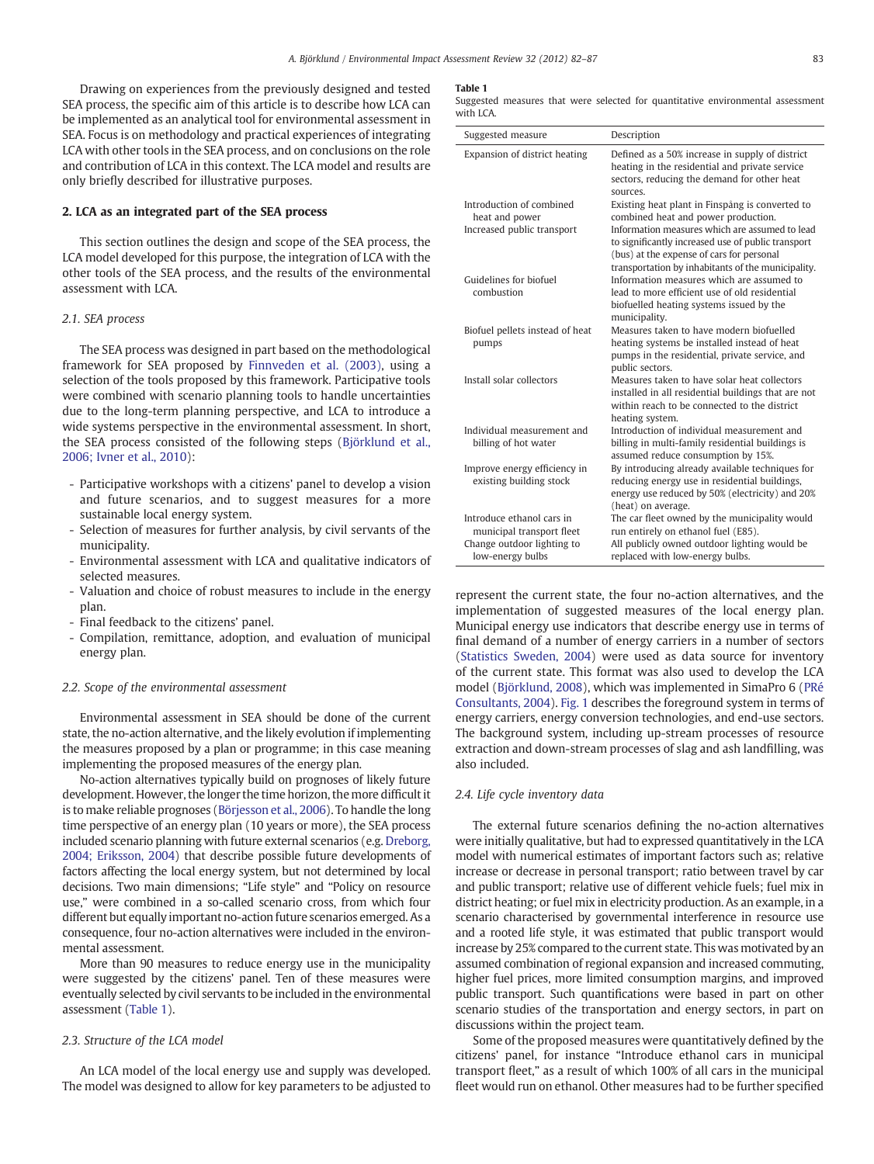Drawing on experiences from the previously designed and tested SEA process, the specific aim of this article is to describe how LCA can be implemented as an analytical tool for environmental assessment in SEA. Focus is on methodology and practical experiences of integrating LCA with other tools in the SEA process, and on conclusions on the role and contribution of LCA in this context. The LCA model and results are only briefly described for illustrative purposes.

#### 2. LCA as an integrated part of the SEA process

This section outlines the design and scope of the SEA process, the LCA model developed for this purpose, the integration of LCA with the other tools of the SEA process, and the results of the environmental assessment with LCA.

#### 2.1. SEA process

The SEA process was designed in part based on the methodological framework for SEA proposed by [Finnveden et al. \(2003\)](#page--1-0), using a selection of the tools proposed by this framework. Participative tools were combined with scenario planning tools to handle uncertainties due to the long-term planning perspective, and LCA to introduce a wide systems perspective in the environmental assessment. In short, the SEA process consisted of the following steps ([Björklund et al.,](#page--1-0) [2006; Ivner et al., 2010](#page--1-0)):

- Participative workshops with a citizens' panel to develop a vision and future scenarios, and to suggest measures for a more sustainable local energy system.
- Selection of measures for further analysis, by civil servants of the municipality.
- Environmental assessment with LCA and qualitative indicators of selected measures.
- Valuation and choice of robust measures to include in the energy plan.
- Final feedback to the citizens' panel.
- Compilation, remittance, adoption, and evaluation of municipal energy plan.

#### 2.2. Scope of the environmental assessment

Environmental assessment in SEA should be done of the current state, the no-action alternative, and the likely evolution if implementing the measures proposed by a plan or programme; in this case meaning implementing the proposed measures of the energy plan.

No-action alternatives typically build on prognoses of likely future development. However, the longer the time horizon, the more difficult it is to make reliable prognoses ([Börjesson et al., 2006](#page--1-0)). To handle the long time perspective of an energy plan (10 years or more), the SEA process included scenario planning with future external scenarios (e.g. [Dreborg,](#page--1-0) [2004; Eriksson, 2004\)](#page--1-0) that describe possible future developments of factors affecting the local energy system, but not determined by local decisions. Two main dimensions; "Life style" and "Policy on resource use," were combined in a so-called scenario cross, from which four different but equally important no-action future scenarios emerged. As a consequence, four no-action alternatives were included in the environmental assessment.

More than 90 measures to reduce energy use in the municipality were suggested by the citizens' panel. Ten of these measures were eventually selected by civil servants to be included in the environmental assessment (Table 1).

#### 2.3. Structure of the LCA model

An LCA model of the local energy use and supply was developed. The model was designed to allow for key parameters to be adjusted to

#### Table 1

Suggested measures that were selected for quantitative environmental assessment with LCA

| Suggested measure                                       | Description                                                                                                                                                                                             |
|---------------------------------------------------------|---------------------------------------------------------------------------------------------------------------------------------------------------------------------------------------------------------|
| Expansion of district heating                           | Defined as a 50% increase in supply of district<br>heating in the residential and private service<br>sectors, reducing the demand for other heat<br>sources.                                            |
| Introduction of combined<br>heat and power              | Existing heat plant in Finspång is converted to<br>combined heat and power production.                                                                                                                  |
| Increased public transport                              | Information measures which are assumed to lead<br>to significantly increased use of public transport<br>(bus) at the expense of cars for personal<br>transportation by inhabitants of the municipality. |
| Guidelines for biofuel<br>combustion                    | Information measures which are assumed to<br>lead to more efficient use of old residential<br>biofuelled heating systems issued by the<br>municipality.                                                 |
| Biofuel pellets instead of heat<br>pumps                | Measures taken to have modern biofuelled<br>heating systems be installed instead of heat<br>pumps in the residential, private service, and<br>public sectors.                                           |
| Install solar collectors                                | Measures taken to have solar heat collectors<br>installed in all residential buildings that are not<br>within reach to be connected to the district<br>heating system.                                  |
| Individual measurement and<br>billing of hot water      | Introduction of individual measurement and<br>billing in multi-family residential buildings is<br>assumed reduce consumption by 15%.                                                                    |
| Improve energy efficiency in<br>existing building stock | By introducing already available techniques for<br>reducing energy use in residential buildings,<br>energy use reduced by 50% (electricity) and 20%<br>(heat) on average.                               |
| Introduce ethanol cars in<br>municipal transport fleet  | The car fleet owned by the municipality would<br>run entirely on ethanol fuel (E85).                                                                                                                    |
| Change outdoor lighting to                              | All publicly owned outdoor lighting would be                                                                                                                                                            |
| low-energy bulbs                                        | replaced with low-energy bulbs.                                                                                                                                                                         |

represent the current state, the four no-action alternatives, and the implementation of suggested measures of the local energy plan. Municipal energy use indicators that describe energy use in terms of final demand of a number of energy carriers in a number of sectors [\(Statistics Sweden, 2004\)](#page--1-0) were used as data source for inventory of the current state. This format was also used to develop the LCA model [\(Björklund, 2008](#page--1-0)), which was implemented in SimaPro 6 [\(PRé](#page--1-0) [Consultants, 2004](#page--1-0)). [Fig. 1](#page--1-0) describes the foreground system in terms of energy carriers, energy conversion technologies, and end-use sectors. The background system, including up-stream processes of resource extraction and down-stream processes of slag and ash landfilling, was also included.

#### 2.4. Life cycle inventory data

The external future scenarios defining the no-action alternatives were initially qualitative, but had to expressed quantitatively in the LCA model with numerical estimates of important factors such as; relative increase or decrease in personal transport; ratio between travel by car and public transport; relative use of different vehicle fuels; fuel mix in district heating; or fuel mix in electricity production. As an example, in a scenario characterised by governmental interference in resource use and a rooted life style, it was estimated that public transport would increase by 25% compared to the current state. This was motivated by an assumed combination of regional expansion and increased commuting, higher fuel prices, more limited consumption margins, and improved public transport. Such quantifications were based in part on other scenario studies of the transportation and energy sectors, in part on discussions within the project team.

Some of the proposed measures were quantitatively defined by the citizens' panel, for instance "Introduce ethanol cars in municipal transport fleet," as a result of which 100% of all cars in the municipal fleet would run on ethanol. Other measures had to be further specified